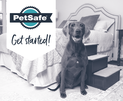

## Get started!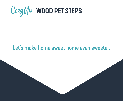

## Let's make home sweet home even sweeter.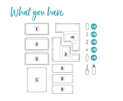What you have

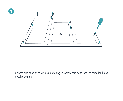

Lay both side panels flat with side A facing up. Screw cam bolts into the threaded holes in each side panel.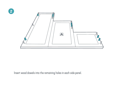

Insert wood dowels into the remaining holes in each side panel.

**2**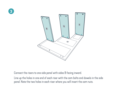



Connect the risers to one side panel with sides B facing inward.

Line up the holes in one end of each riser with the cam bolts and dowels in the side panel. Note the two holes in each riser where you will insert the cam nuts.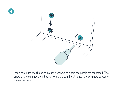



Insert cam nuts into the holes in each riser next to where the panels are connected. (The arrow on the cam nut should point toward the cam bolt.) Tighten the cam nuts to secure the connections.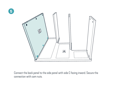

**5**

Connect the back panel to the side panel with side C facing inward. Secure the connection with cam nuts.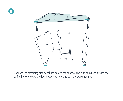



Connect the remaining side panel and secure the connections with cam nuts. Attach the self-adhesive feet to the four bottom corners and turn the steps upright.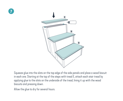



Squeeze glue into the slots on the top edge of the side panels and place a wood biscuit in each one. Starting at the top of the steps with tread E, attach each stair tread by applying glue to the slots on the underside of the tread, lining it up with the wood biscuits and pressing down.

Allow the glue to dry for several hours.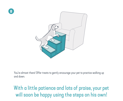



You're almost there! Offer treats to gently encourage your pet to practice walking up and down.

## With a little patience and lots of praise, your pet will soon be happy using the steps on his own!